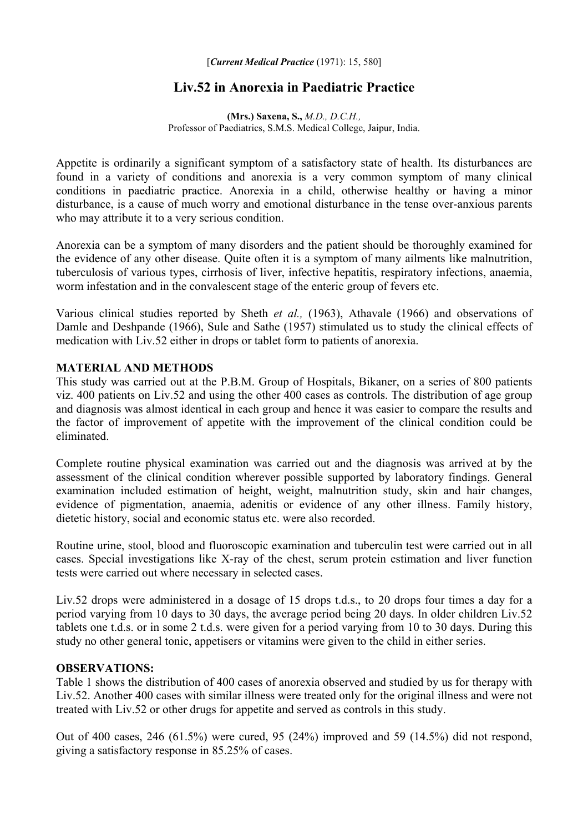# **Liv.52 in Anorexia in Paediatric Practice**

**(Mrs.) Saxena, S.,** *M.D., D.C.H.,*  Professor of Paediatrics, S.M.S. Medical College, Jaipur, India.

Appetite is ordinarily a significant symptom of a satisfactory state of health. Its disturbances are found in a variety of conditions and anorexia is a very common symptom of many clinical conditions in paediatric practice. Anorexia in a child, otherwise healthy or having a minor disturbance, is a cause of much worry and emotional disturbance in the tense over-anxious parents who may attribute it to a very serious condition.

Anorexia can be a symptom of many disorders and the patient should be thoroughly examined for the evidence of any other disease. Quite often it is a symptom of many ailments like malnutrition, tuberculosis of various types, cirrhosis of liver, infective hepatitis, respiratory infections, anaemia, worm infestation and in the convalescent stage of the enteric group of fevers etc.

Various clinical studies reported by Sheth *et al.,* (1963), Athavale (1966) and observations of Damle and Deshpande (1966), Sule and Sathe (1957) stimulated us to study the clinical effects of medication with Liv.52 either in drops or tablet form to patients of anorexia.

#### **MATERIAL AND METHODS**

This study was carried out at the P.B.M. Group of Hospitals, Bikaner, on a series of 800 patients viz. 400 patients on Liv.52 and using the other 400 cases as controls. The distribution of age group and diagnosis was almost identical in each group and hence it was easier to compare the results and the factor of improvement of appetite with the improvement of the clinical condition could be eliminated.

Complete routine physical examination was carried out and the diagnosis was arrived at by the assessment of the clinical condition wherever possible supported by laboratory findings. General examination included estimation of height, weight, malnutrition study, skin and hair changes, evidence of pigmentation, anaemia, adenitis or evidence of any other illness. Family history, dietetic history, social and economic status etc. were also recorded.

Routine urine, stool, blood and fluoroscopic examination and tuberculin test were carried out in all cases. Special investigations like X-ray of the chest, serum protein estimation and liver function tests were carried out where necessary in selected cases.

Liv.52 drops were administered in a dosage of 15 drops t.d.s., to 20 drops four times a day for a period varying from 10 days to 30 days, the average period being 20 days. In older children Liv.52 tablets one t.d.s. or in some 2 t.d.s. were given for a period varying from 10 to 30 days. During this study no other general tonic, appetisers or vitamins were given to the child in either series.

#### **OBSERVATIONS:**

Table 1 shows the distribution of 400 cases of anorexia observed and studied by us for therapy with Liv.52. Another 400 cases with similar illness were treated only for the original illness and were not treated with Liv.52 or other drugs for appetite and served as controls in this study.

Out of 400 cases, 246 (61.5%) were cured, 95 (24%) improved and 59 (14.5%) did not respond, giving a satisfactory response in 85.25% of cases.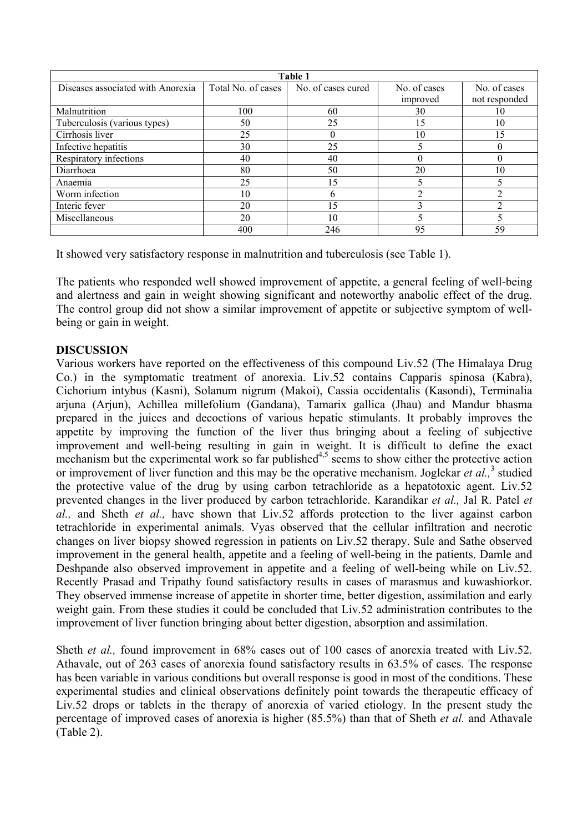| Table 1                           |                    |                    |              |               |
|-----------------------------------|--------------------|--------------------|--------------|---------------|
| Diseases associated with Anorexia | Total No. of cases | No. of cases cured | No. of cases | No. of cases  |
|                                   |                    |                    | improved     | not responded |
| Malnutrition                      | 100                | 60                 | 30           | 10            |
| Tuberculosis (various types)      | 50                 | 25                 | 15           | 10            |
| Cirrhosis liver                   | 25                 |                    | 10           | 15            |
| Infective hepatitis               | 30                 | 25                 |              |               |
| Respiratory infections            | 40                 | 40                 |              |               |
| Diarrhoea                         | 80                 | 50                 | 20           | 10            |
| Anaemia                           | 25                 | 15                 |              |               |
| Worm infection                    | 10                 |                    | ↑            |               |
| Interic fever                     | 20                 | 15                 |              |               |
| Miscellaneous                     | 20                 | 10                 |              |               |
|                                   | 400                | 246                | 95           | 59            |

It showed very satisfactory response in malnutrition and tuberculosis (see Table 1).

The patients who responded well showed improvement of appetite, a general feeling of well-being and alertness and gain in weight showing significant and noteworthy anabolic effect of the drug. The control group did not show a similar improvement of appetite or subjective symptom of wellbeing or gain in weight.

## **DISCUSSION**

Various workers have reported on the effectiveness of this compound Liv.52 (The Himalaya Drug Co.) in the symptomatic treatment of anorexia. Liv.52 contains Capparis spinosa (Kabra), Cichorium intybus (Kasni), Solanum nigrum (Makoi), Cassia occidentalis (Kasondi), Terminalia arjuna (Arjun), Achillea millefolium (Gandana), Tamarix gallica (Jhau) and Mandur bhasma prepared in the juices and decoctions of various hepatic stimulants. It probably improves the appetite by improving the function of the liver thus bringing about a feeling of subjective improvement and well-being resulting in gain in weight. It is difficult to define the exact mechanism but the experimental work so far published<sup>4,5</sup> seems to show either the protective action or improvement of liver function and this may be the operative mechanism. Joglekar *et al.*,<sup>3</sup> studied the protective value of the drug by using carbon tetrachloride as a hepatotoxic agent. Liv.52 prevented changes in the liver produced by carbon tetrachloride. Karandikar *et al.,* Jal R. Patel *et al.,* and Sheth *et al.,* have shown that Liv.52 affords protection to the liver against carbon tetrachloride in experimental animals. Vyas observed that the cellular infiltration and necrotic changes on liver biopsy showed regression in patients on Liv.52 therapy. Sule and Sathe observed improvement in the general health, appetite and a feeling of well-being in the patients. Damle and Deshpande also observed improvement in appetite and a feeling of well-being while on Liv.52. Recently Prasad and Tripathy found satisfactory results in cases of marasmus and kuwashiorkor. They observed immense increase of appetite in shorter time, better digestion, assimilation and early weight gain. From these studies it could be concluded that Liv.52 administration contributes to the improvement of liver function bringing about better digestion, absorption and assimilation.

Sheth *et al.*, found improvement in 68% cases out of 100 cases of anorexia treated with Liv.52. Athavale, out of 263 cases of anorexia found satisfactory results in 63.5% of cases. The response has been variable in various conditions but overall response is good in most of the conditions. These experimental studies and clinical observations definitely point towards the therapeutic efficacy of Liv.52 drops or tablets in the therapy of anorexia of varied etiology. In the present study the percentage of improved cases of anorexia is higher (85.5%) than that of Sheth *et al.* and Athavale (Table 2).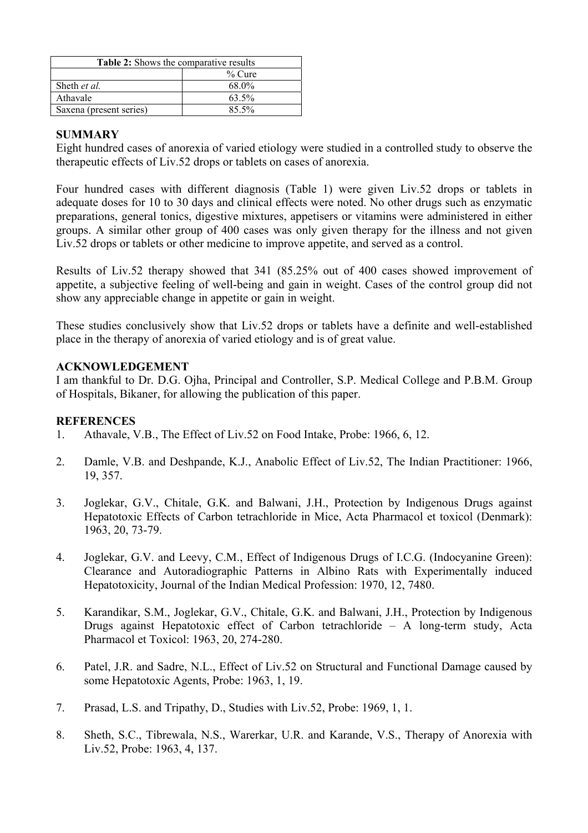| <b>Table 2:</b> Shows the comparative results |           |  |  |
|-----------------------------------------------|-----------|--|--|
|                                               | $\%$ Cure |  |  |
| Sheth et al.                                  | 68.0%     |  |  |
| Athavale                                      | 63.5%     |  |  |
| Saxena (present series)                       | $85.5\%$  |  |  |

# **SUMMARY**

Eight hundred cases of anorexia of varied etiology were studied in a controlled study to observe the therapeutic effects of Liv.52 drops or tablets on cases of anorexia.

Four hundred cases with different diagnosis (Table 1) were given Liv.52 drops or tablets in adequate doses for 10 to 30 days and clinical effects were noted. No other drugs such as enzymatic preparations, general tonics, digestive mixtures, appetisers or vitamins were administered in either groups. A similar other group of 400 cases was only given therapy for the illness and not given Liv.52 drops or tablets or other medicine to improve appetite, and served as a control.

Results of Liv.52 therapy showed that 341 (85.25% out of 400 cases showed improvement of appetite, a subjective feeling of well-being and gain in weight. Cases of the control group did not show any appreciable change in appetite or gain in weight.

These studies conclusively show that Liv.52 drops or tablets have a definite and well-established place in the therapy of anorexia of varied etiology and is of great value.

## **ACKNOWLEDGEMENT**

I am thankful to Dr. D.G. Ojha, Principal and Controller, S.P. Medical College and P.B.M. Group of Hospitals, Bikaner, for allowing the publication of this paper.

#### **REFERENCES**

- 1. Athavale, V.B., The Effect of Liv.52 on Food Intake, Probe: 1966, 6, 12.
- 2. Damle, V.B. and Deshpande, K.J., Anabolic Effect of Liv.52, The Indian Practitioner: 1966, 19, 357.
- 3. Joglekar, G.V., Chitale, G.K. and Balwani, J.H., Protection by Indigenous Drugs against Hepatotoxic Effects of Carbon tetrachloride in Mice, Acta Pharmacol et toxicol (Denmark): 1963, 20, 73-79.
- 4. Joglekar, G.V. and Leevy, C.M., Effect of Indigenous Drugs of I.C.G. (Indocyanine Green): Clearance and Autoradiographic Patterns in Albino Rats with Experimentally induced Hepatotoxicity, Journal of the Indian Medical Profession: 1970, 12, 7480.
- 5. Karandikar, S.M., Joglekar, G.V., Chitale, G.K. and Balwani, J.H., Protection by Indigenous Drugs against Hepatotoxic effect of Carbon tetrachloride – A long-term study, Acta Pharmacol et Toxicol: 1963, 20, 274-280.
- 6. Patel, J.R. and Sadre, N.L., Effect of Liv.52 on Structural and Functional Damage caused by some Hepatotoxic Agents, Probe: 1963, 1, 19.
- 7. Prasad, L.S. and Tripathy, D., Studies with Liv.52, Probe: 1969, 1, 1.
- 8. Sheth, S.C., Tibrewala, N.S., Warerkar, U.R. and Karande, V.S., Therapy of Anorexia with Liv.52, Probe: 1963, 4, 137.